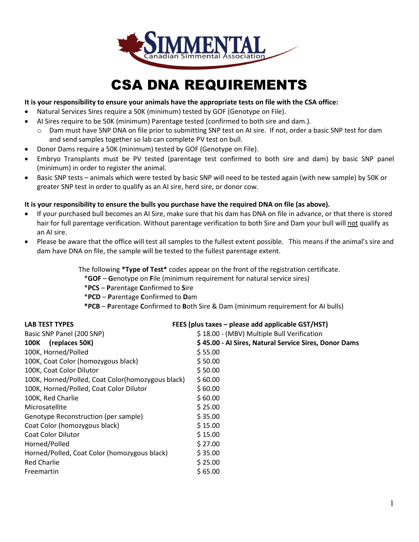

## CSA DNA REQUIREMENTS

#### **It is your responsibility to ensure your animals have the appropriate tests on file with the CSA office:**

- Natural Services Sires require a 50K (minimum) tested by GOF (Genotype on File).
- AI Sires require to be 50K (minimum) Parentage tested (confirmed to both sire and dam.).
	- o Dam must have SNP DNA on file prior to submitting SNP test on AI sire. If not, order a basic SNP test for dam and send samples together so lab can complete PV test on bull.
- Donor Dams require a 50K (minimum) tested by GOF (Genotype on File).
- Embryo Transplants must be PV tested (parentage test confirmed to both sire and dam) by basic SNP panel (minimum) in order to register the animal.
- Basic SNP tests animals which were tested by basic SNP will need to be tested again (with new sample) by 50K or greater SNP test in order to qualify as an AI sire, herd sire, or donor cow.

### **It is your responsibility to ensure the bulls you purchase have the required DNA on file (as above).**

- If your purchased bull becomes an AI Sire, make sure that his dam has DNA on file in advance, or that there is stored hair for full parentage verification. Without parentage verification to both Sire and Dam your bull will not qualify as an AI sire.
- Please be aware that the office will test all samples to the fullest extent possible. This means if the animal's sire and dam have DNA on file, the sample will be tested to the fullest parentage extent.

The following **\*Type of Test\*** codes appear on the front of the registration certificate.

- \***GOF G**enotype on **F**ile (minimum requirement for natural service sires)
- \***PCS P**arentage **C**onfirmed to **S**ire
- \***PCD P**arentage **C**onfirmed to **D**am
- **\*PCB P**arentage **C**onfirmed to **B**oth Sire & Dam (minimum requirement for AI bulls)

| <b>LAB TEST TYPES</b>                             | FEES (plus taxes - please add applicable GST/HST)     |  |  |  |
|---------------------------------------------------|-------------------------------------------------------|--|--|--|
| Basic SNP Panel (200 SNP)                         | \$18.00 - (MBV) Multiple Bull Verification            |  |  |  |
| (replaces 50K)<br>100K                            | \$45.00 - Al Sires, Natural Service Sires, Donor Dams |  |  |  |
| 100K, Horned/Polled                               | \$55.00                                               |  |  |  |
| 100K, Coat Color (homozygous black)               | \$50.00                                               |  |  |  |
| 100K, Coat Color Dilutor                          | \$50.00                                               |  |  |  |
| 100K, Horned/Polled, Coat Color(homozygous black) | \$60.00                                               |  |  |  |
| 100K, Horned/Polled, Coat Color Dilutor           | \$60.00                                               |  |  |  |
| 100K, Red Charlie                                 | \$60.00                                               |  |  |  |
| Microsatellite                                    | \$25.00                                               |  |  |  |
| Genotype Reconstruction (per sample)              | \$35.00                                               |  |  |  |
| Coat Color (homozygous black)                     | \$15.00                                               |  |  |  |
| <b>Coat Color Dilutor</b>                         | \$15.00                                               |  |  |  |
| Horned/Polled                                     | \$27.00                                               |  |  |  |
| Horned/Polled, Coat Color (homozygous black)      | \$35.00                                               |  |  |  |
| <b>Red Charlie</b>                                | \$25.00                                               |  |  |  |
| Freemartin                                        | \$65.00                                               |  |  |  |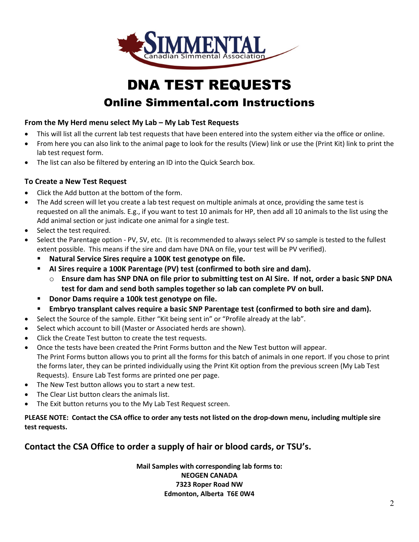

# DNA TEST REQUESTS

### Online Simmental.com Instructions

### **From the My Herd menu select My Lab – My Lab Test Requests**

- This will list all the current lab test requests that have been entered into the system either via the office or online.
- From here you can also link to the animal page to look for the results (View) link or use the (Print Kit) link to print the lab test request form.
- The list can also be filtered by entering an ID into the Quick Search box.

### **To Create a New Test Request**

- Click the Add button at the bottom of the form.
- The Add screen will let you create a lab test request on multiple animals at once, providing the same test is requested on all the animals. E.g., if you want to test 10 animals for HP, then add all 10 animals to the list using the Add animal section or just indicate one animal for a single test.
- Select the test required.
- Select the Parentage option PV, SV, etc. (It is recommended to always select PV so sample is tested to the fullest extent possible. This means if the sire and dam have DNA on file, your test will be PV verified).
	- **Natural Service Sires require a 100K test genotype on file.**
	- **AI Sires require a 100K Parentage (PV) test (confirmed to both sire and dam).**
		- o **Ensure dam has SNP DNA on file prior to submitting test on AI Sire. If not, order a basic SNP DNA test for dam and send both samples together so lab can complete PV on bull.**
	- **Donor Dams require a 100k test genotype on file.**
	- **Embryo transplant calves require a basic SNP Parentage test (confirmed to both sire and dam).**
- Select the Source of the sample. Either "Kit being sent in" or "Profile already at the lab".
- Select which account to bill (Master or Associated herds are shown).
- Click the Create Test button to create the test requests.
- Once the tests have been created the Print Forms button and the New Test button will appear. The Print Forms button allows you to print all the forms for this batch of animals in one report. If you chose to print the forms later, they can be printed individually using the Print Kit option from the previous screen (My Lab Test Requests). Ensure Lab Test forms are printed one per page.
- The New Test button allows you to start a new test.
- The Clear List button clears the animals list.
- The Exit button returns you to the My Lab Test Request screen.

**PLEASE NOTE: Contact the CSA office to order any tests not listed on the drop-down menu, including multiple sire test requests.**

### **Contact the CSA Office to order a supply of hair or blood cards, or TSU's.**

**Mail Samples with corresponding lab forms to: NEOGEN CANADA 7323 Roper Road NW Edmonton, Alberta T6E 0W4**